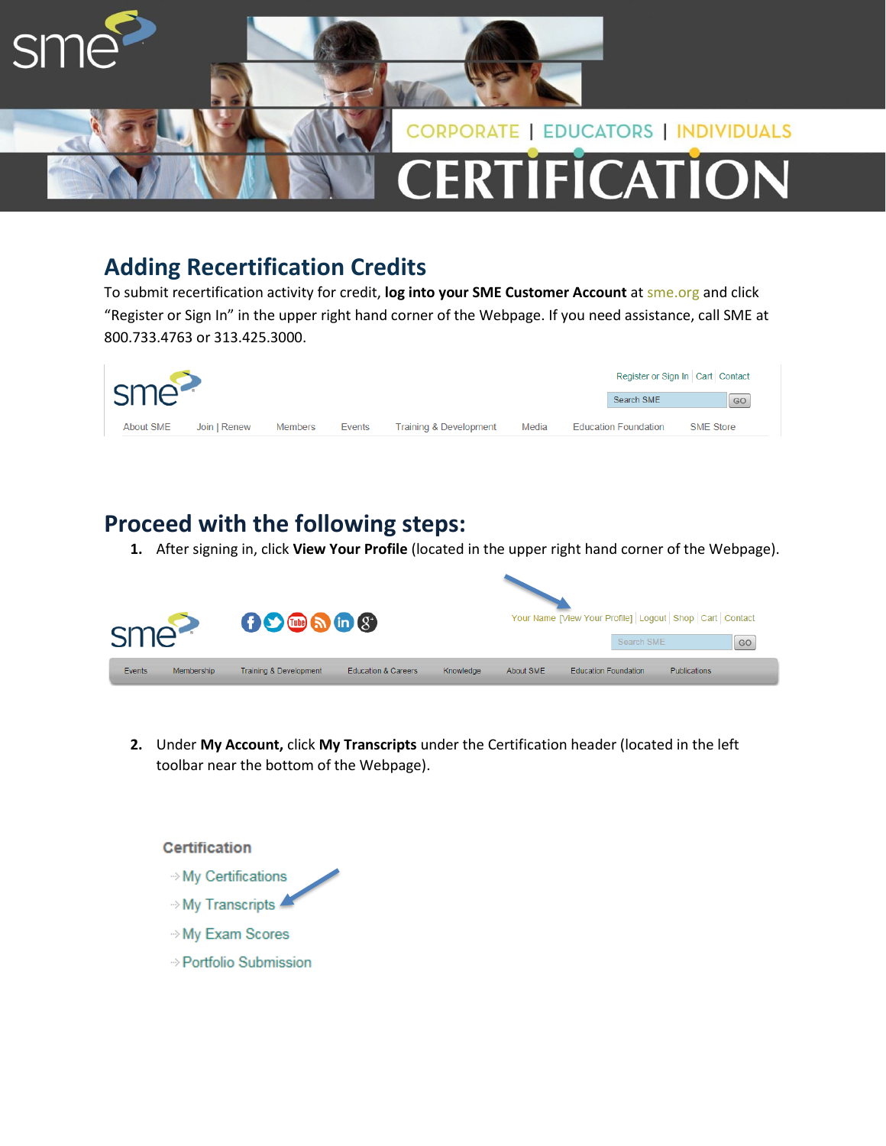

## **Adding Recertification Credits**

To submit recertification activity for credit, **log into your SME Customer Account** at sme.org and click "Register or Sign In" in the upper right hand corner of the Webpage. If you need assistance, call SME at 800.733.4763 or 313.425.3000.

| sme <sup>2</sup> |              | Register or Sign In Cart Contact |        |                        |       |                             |                  |
|------------------|--------------|----------------------------------|--------|------------------------|-------|-----------------------------|------------------|
|                  |              |                                  |        |                        |       | Search SME                  | GO               |
| About SME        | Join   Renew | Members                          | Events | Training & Development | Media | <b>Education Foundation</b> | <b>SME Store</b> |

## **Proceed with the following steps:**

**1.** After signing in, click **View Your Profile** (located in the upper right hand corner of the Webpage).



**2.** Under **My Account,** click **My Transcripts** under the Certification header (located in the left toolbar near the bottom of the Webpage).

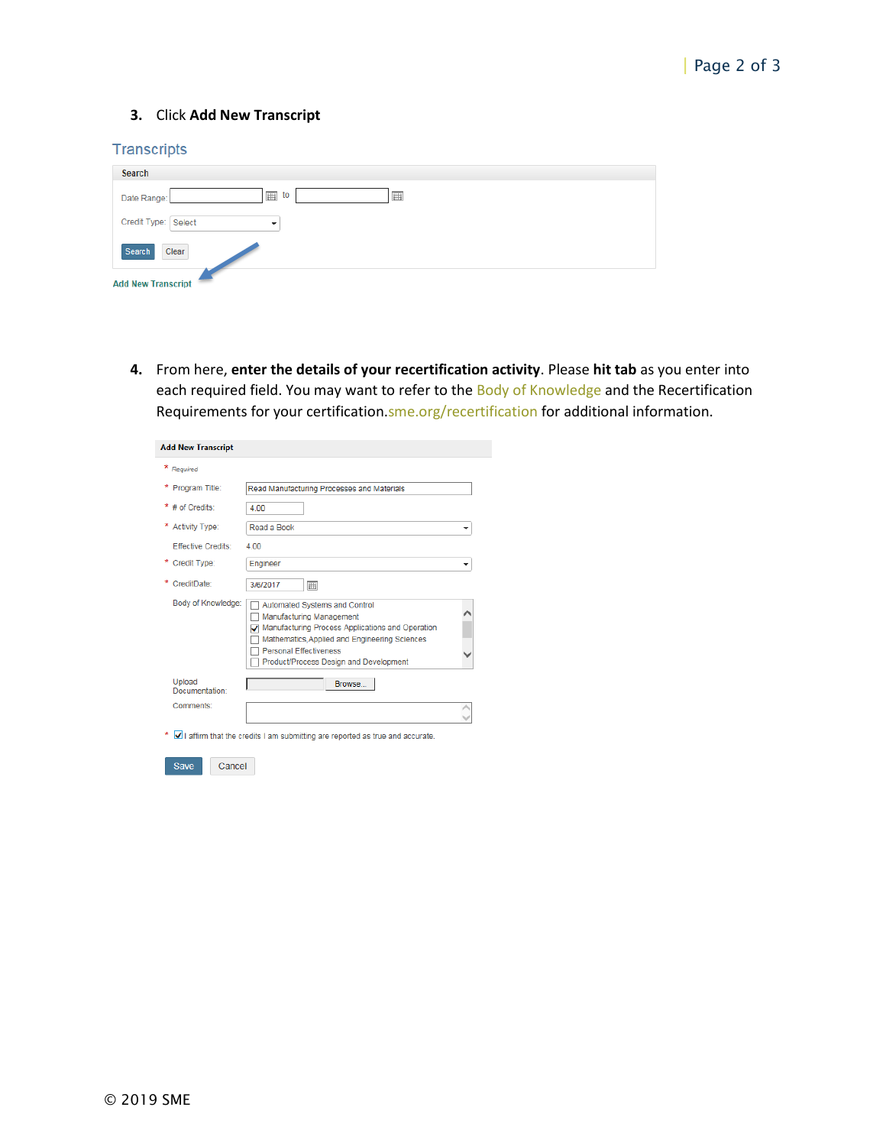## **3.** Click **Add New Transcript**

## **Transcripts**

| Search                      |
|-----------------------------|
| 画<br>囲<br>to<br>Date Range: |
| Credit Type: Select         |
| Search<br>Clear             |
| <b>Add New Transcript</b>   |

**4.** From here, **enter the details of your recertification activity**. Please **hit tab** as you enter into each required field. You may want to refer to the Body of Knowledge and the Recertification Requirements for your certification.sme.org/recertification for additional information.

| <b>Add New Transcript</b>  |                                                                                                                                                                                                                                                |  |
|----------------------------|------------------------------------------------------------------------------------------------------------------------------------------------------------------------------------------------------------------------------------------------|--|
| * Required                 |                                                                                                                                                                                                                                                |  |
| Program Title:             | Read Manufacturing Processes and Materials                                                                                                                                                                                                     |  |
| $*$ # of Credits:          | 4.00                                                                                                                                                                                                                                           |  |
| *<br><b>Activity Type:</b> | Read a Book                                                                                                                                                                                                                                    |  |
| <b>Effective Credits:</b>  | 4.00                                                                                                                                                                                                                                           |  |
| * Credit Type:             | Engineer                                                                                                                                                                                                                                       |  |
| CreditDate:                | 3/6/2017<br>扁                                                                                                                                                                                                                                  |  |
| Body of Knowledge:         | Automated Systems and Control<br>Manufacturing Management<br>Manufacturing Process Applications and Operation<br>◡<br>Mathematics, Applied and Engineering Sciences<br><b>Personal Effectiveness</b><br>Product/Process Design and Development |  |
| Upload<br>Documentation:   | Browse                                                                                                                                                                                                                                         |  |
| Comments:                  |                                                                                                                                                                                                                                                |  |
|                            | I affirm that the credits I am submitting are reported as true and accurate.                                                                                                                                                                   |  |
| <b>Save</b><br>Cancel      |                                                                                                                                                                                                                                                |  |